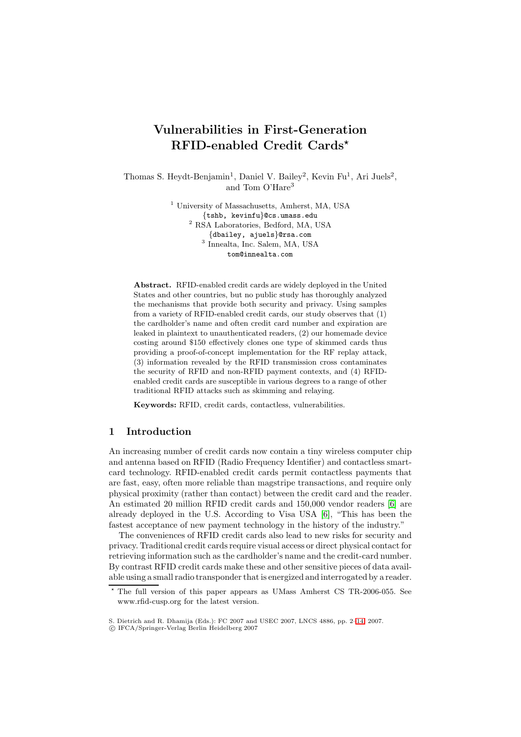# **Vulnerabilities in First-Generation RFID-enabled Credit Cards***-*

Thomas S. Heydt-Benjamin<sup>1</sup>, Daniel V. Bailey<sup>2</sup>, Kevin Fu<sup>1</sup>, Ari Juels<sup>2</sup>, and Tom O'Hare<sup>3</sup>

> <sup>1</sup> University of Massachusetts, Amherst, MA, USA {tshb, kevinfu}@cs.umass.edu <sup>2</sup> RSA Laboratories, Bedford, MA, USA {dbailey, ajuels}@rsa.com <sup>3</sup> Innealta, Inc. Salem, MA, USA tom@innealta.com

**Abstract.** RFID-enabled credit cards are widely deployed in the United States and other countries, but no public study has thoroughly analyzed the mechanisms that provide both security and privacy. Using samples from a variety of RFID-enabled credit cards, our study observes that (1) the cardholder's name and often credit card number and expiration are leaked in plaintext to unauthenticated readers, (2) our homemade device costing around \$150 effectively clones one type of skimmed cards thus providing a proof-of-concept implementation for the RF replay attack, (3) information revealed by the RFID transmission cross contaminates the security of RFID and non-RFID payment contexts, and (4) RFIDenabled credit cards are susceptible in various degrees to a range of other traditional RFID attacks such as skimming and relaying.

**Keywords:** RFID, credit cards, contactless, vulnerabilities.

# **1 Introduction**

An increasing number of credit cards now contain a tiny wireless computer chip and antenna based on RFID (Radio Frequency Identifier) and contactless smartcard technology. RFID-enabled credit cards permit contactless payments that are fast, easy, often more reliable than magstripe transactions, and require only physical proximity (rather than contact) between the credit card and the reader. An estimated 20 million RFID credit cards and 150,000 vendor readers [\[6\]](#page-11-0) are already deployed in the U.S. According to Visa USA [\[6\]](#page-11-0), "This has been the fastest acceptance of new payment technology in the history of the industry."

The conveniences of RFID credit cards also lead to new risks for security and privacy. Traditional credit cards require visual access or direct physical contact for retrieving information such as the cardholder's name and the credit-card number. By contrast RFID credit cards make these and other sensitive pieces of data available using a small radio transponder that is energized and interrogated by a reader.

 $\star$  The full version of this paper appears as UMass Amherst CS TR-2006-055. See www.rfid-cusp.org for the latest version.

S. Dietrich and R. Dhamija (Eds.): FC 2007 and USEC 2007, LNCS 4886, pp. 2[–14,](#page-11-1) 2007.

<sup>-</sup>c IFCA/Springer-Verlag Berlin Heidelberg 2007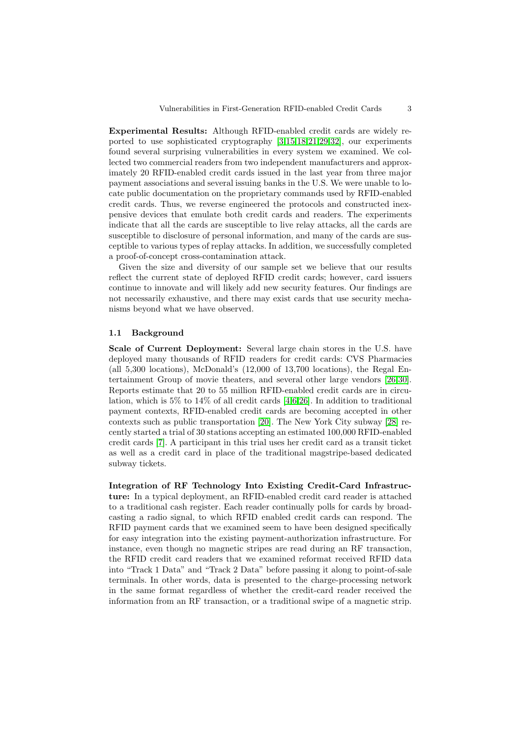**Experimental Results:** Although RFID-enabled credit cards are widely reported to use sophisticated cryptography [\[3,](#page-11-2)[15](#page-11-3)[,18](#page-12-0)[,21,](#page-12-1)[29](#page-12-2)[,32\]](#page-12-3), our experiments found several surprising vulnerabilities in every system we examined. We collected two commercial readers from two independent manufacturers and approximately 20 RFID-enabled credit cards issued in the last year from three major payment associations and several issuing banks in the U.S. We were unable to locate public documentation on the proprietary commands used by RFID-enabled credit cards. Thus, we reverse engineered the protocols and constructed inexpensive devices that emulate both credit cards and readers. The experiments indicate that all the cards are susceptible to live relay attacks, all the cards are susceptible to disclosure of personal information, and many of the cards are susceptible to various types of replay attacks. In addition, we successfully completed a proof-of-concept cross-contamination attack.

Given the size and diversity of our sample set we believe that our results reflect the current state of deployed RFID credit cards; however, card issuers continue to innovate and will likely add new security features. Our findings are not necessarily exhaustive, and there may exist cards that use security mechanisms beyond what we have observed.

#### **1.1 Background**

**Scale of Current Deployment:** Several large chain stores in the U.S. have deployed many thousands of RFID readers for credit cards: CVS Pharmacies (all 5,300 locations), McDonald's (12,000 of 13,700 locations), the Regal Entertainment Group of movie theaters, and several other large vendors [\[26,](#page-12-4)[30\]](#page-12-5). Reports estimate that 20 to 55 million RFID-enabled credit cards are in circulation, which is 5% to 14% of all credit cards [\[4](#page-11-4)[,6,](#page-11-0)[26\]](#page-12-4). In addition to traditional payment contexts, RFID-enabled credit cards are becoming accepted in other contexts such as public transportation [\[20\]](#page-12-6). The New York City subway [\[28\]](#page-12-7) recently started a trial of 30 stations accepting an estimated 100,000 RFID-enabled credit cards [\[7\]](#page-11-5). A participant in this trial uses her credit card as a transit ticket as well as a credit card in place of the traditional magstripe-based dedicated subway tickets.

**Integration of RF Technology Into Existing Credit-Card Infrastructure:** In a typical deployment, an RFID-enabled credit card reader is attached to a traditional cash register. Each reader continually polls for cards by broadcasting a radio signal, to which RFID enabled credit cards can respond. The RFID payment cards that we examined seem to have been designed specifically for easy integration into the existing payment-authorization infrastructure. For instance, even though no magnetic stripes are read during an RF transaction, the RFID credit card readers that we examined reformat received RFID data into "Track 1 Data" and "Track 2 Data" before passing it along to point-of-sale terminals. In other words, data is presented to the charge-processing network in the same format regardless of whether the credit-card reader received the information from an RF transaction, or a traditional swipe of a magnetic strip.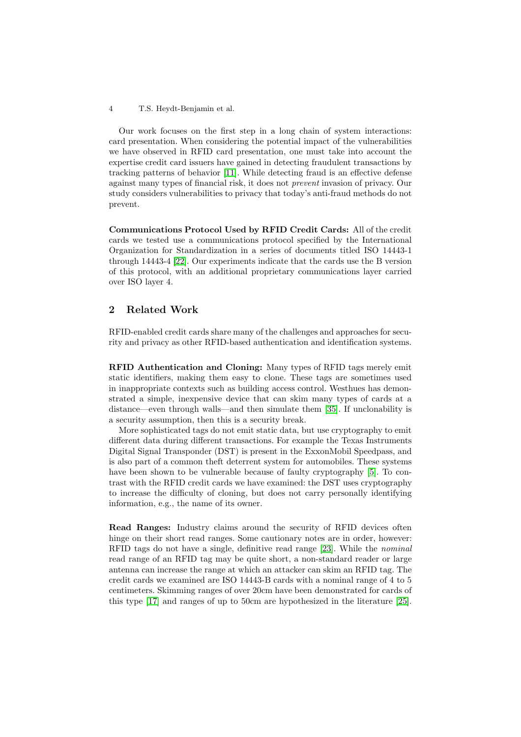Our work focuses on the first step in a long chain of system interactions: card presentation. When considering the potential impact of the vulnerabilities we have observed in RFID card presentation, one must take into account the expertise credit card issuers have gained in detecting fraudulent transactions by tracking patterns of behavior [\[11\]](#page-11-6). While detecting fraud is an effective defense against many types of financial risk, it does not prevent invasion of privacy. Our study considers vulnerabilities to privacy that today's anti-fraud methods do not prevent.

**Communications Protocol Used by RFID Credit Cards:** All of the credit cards we tested use a communications protocol specified by the International Organization for Standardization in a series of documents titled ISO 14443-1 through 14443-4 [\[22\]](#page-12-8). Our experiments indicate that the cards use the B version of this protocol, with an additional proprietary communications layer carried over ISO layer 4.

# **2 Related Work**

RFID-enabled credit cards share many of the challenges and approaches for security and privacy as other RFID-based authentication and identification systems.

**RFID Authentication and Cloning:** Many types of RFID tags merely emit static identifiers, making them easy to clone. These tags are sometimes used in inappropriate contexts such as building access control. Westhues has demonstrated a simple, inexpensive device that can skim many types of cards at a distance—even through walls—and then simulate them [\[35\]](#page-12-9). If unclonability is a security assumption, then this is a security break.

More sophisticated tags do not emit static data, but use cryptography to emit different data during different transactions. For example the Texas Instruments Digital Signal Transponder (DST) is present in the ExxonMobil Speedpass, and is also part of a common theft deterrent system for automobiles. These systems have been shown to be vulnerable because of faulty cryptography [\[5\]](#page-11-7). To contrast with the RFID credit cards we have examined: the DST uses cryptography to increase the difficulty of cloning, but does not carry personally identifying information, e.g., the name of its owner.

**Read Ranges:** Industry claims around the security of RFID devices often hinge on their short read ranges. Some cautionary notes are in order, however: RFID tags do not have a single, definitive read range [\[23\]](#page-12-10). While the nominal read range of an RFID tag may be quite short, a non-standard reader or large antenna can increase the range at which an attacker can skim an RFID tag. The credit cards we examined are ISO 14443-B cards with a nominal range of 4 to 5 centimeters. Skimming ranges of over 20cm have been demonstrated for cards of this type [\[17\]](#page-12-11) and ranges of up to 50cm are hypothesized in the literature [\[25\]](#page-12-12).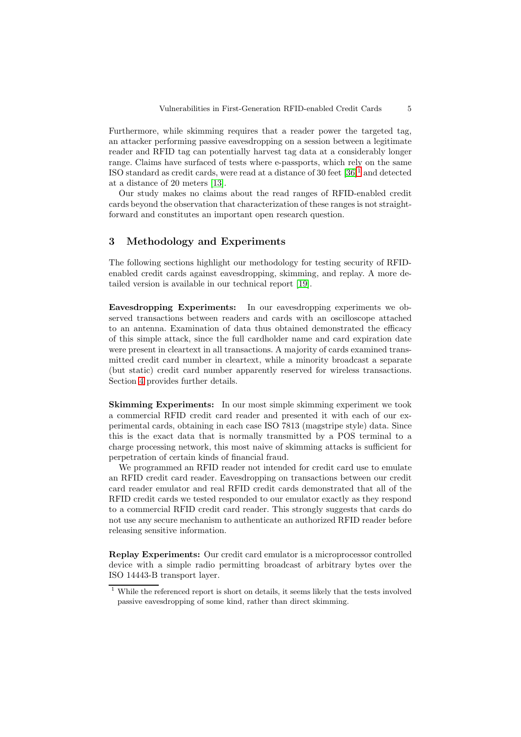Furthermore, while skimming requires that a reader power the targeted tag, an attacker performing passive eavesdropping on a session between a legitimate reader and RFID tag can potentially harvest tag data at a considerably longer range. Claims have surfaced of tests where e-passports, which rely on the same ISO standard as credit cards, were read at a distance of 30 feet [\[36\]](#page-12-13)[1](#page-3-0) and detected at a distance of 20 meters [\[13\]](#page-11-8).

Our study makes no claims about the read ranges of RFID-enabled credit cards beyond the observation that characterization of these ranges is not straightforward and constitutes an important open research question.

# **3 Methodology and Experiments**

The following sections highlight our methodology for testing security of RFIDenabled credit cards against eavesdropping, skimming, and replay. A more detailed version is available in our technical report [\[19\]](#page-12-14).

**Eavesdropping Experiments:** In our eavesdropping experiments we observed transactions between readers and cards with an oscilloscope attached to an antenna. Examination of data thus obtained demonstrated the efficacy of this simple attack, since the full cardholder name and card expiration date were present in cleartext in all transactions. A majority of cards examined transmitted credit card number in cleartext, while a minority broadcast a separate (but static) credit card number apparently reserved for wireless transactions. Section [4](#page-4-0) provides further details.

**Skimming Experiments:** In our most simple skimming experiment we took a commercial RFID credit card reader and presented it with each of our experimental cards, obtaining in each case ISO 7813 (magstripe style) data. Since this is the exact data that is normally transmitted by a POS terminal to a charge processing network, this most naive of skimming attacks is sufficient for perpetration of certain kinds of financial fraud.

We programmed an RFID reader not intended for credit card use to emulate an RFID credit card reader. Eavesdropping on transactions between our credit card reader emulator and real RFID credit cards demonstrated that all of the RFID credit cards we tested responded to our emulator exactly as they respond to a commercial RFID credit card reader. This strongly suggests that cards do not use any secure mechanism to authenticate an authorized RFID reader before releasing sensitive information.

**Replay Experiments:** Our credit card emulator is a microprocessor controlled device with a simple radio permitting broadcast of arbitrary bytes over the ISO 14443-B transport layer.

<span id="page-3-0"></span><sup>1</sup> While the referenced report is short on details, it seems likely that the tests involved passive eavesdropping of some kind, rather than direct skimming.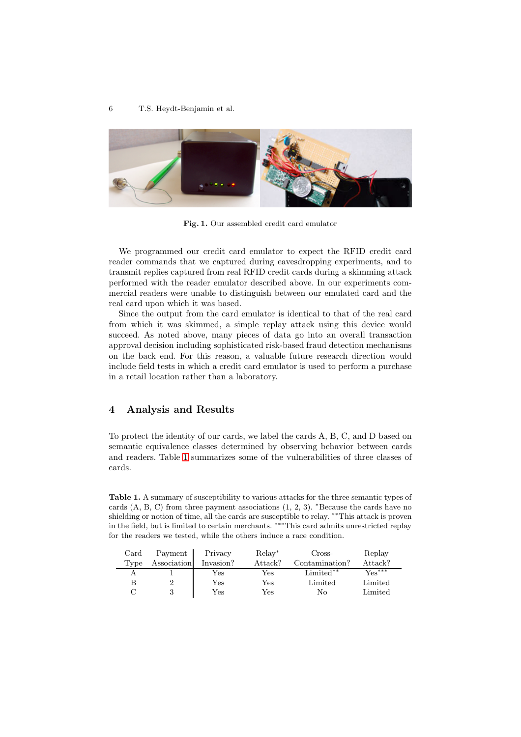

**Fig. 1.** Our assembled credit card emulator

We programmed our credit card emulator to expect the RFID credit card reader commands that we captured during eavesdropping experiments, and to transmit replies captured from real RFID credit cards during a skimming attack performed with the reader emulator described above. In our experiments commercial readers were unable to distinguish between our emulated card and the real card upon which it was based.

Since the output from the card emulator is identical to that of the real card from which it was skimmed, a simple replay attack using this device would succeed. As noted above, many pieces of data go into an overall transaction approval decision including sophisticated risk-based fraud detection mechanisms on the back end. For this reason, a valuable future research direction would include field tests in which a credit card emulator is used to perform a purchase in a retail location rather than a laboratory.

### <span id="page-4-0"></span>**4 Analysis and Results**

To protect the identity of our cards, we label the cards A, B, C, and D based on semantic equivalence classes determined by observing behavior between cards and readers. Table [1](#page-4-1) summarizes some of the vulnerabilities of three classes of cards.

<span id="page-4-1"></span>**Table 1.** A summary of susceptibility to various attacks for the three semantic types of cards (A, B, C) from three payment associations (1, 2, 3). <sup>∗</sup>Because the cards have no shielding or notion of time, all the cards are susceptible to relay. ∗∗This attack is proven in the field, but is limited to certain merchants. ∗∗∗This card admits unrestricted replay for the readers we tested, while the others induce a race condition.

| Card | Payment     | Privacy   | Relay <sup>*</sup> | Cross-         | Replay   |
|------|-------------|-----------|--------------------|----------------|----------|
| Type | Association | Invasion? | Attack?            | Contamination? | Attack?  |
|      |             | Yes       | Yes                | $Limited**$    | $Yes***$ |
|      |             | Yes       | Yes                | Limited        | Limited  |
|      |             | Yes       | Yes                | No             | Limited  |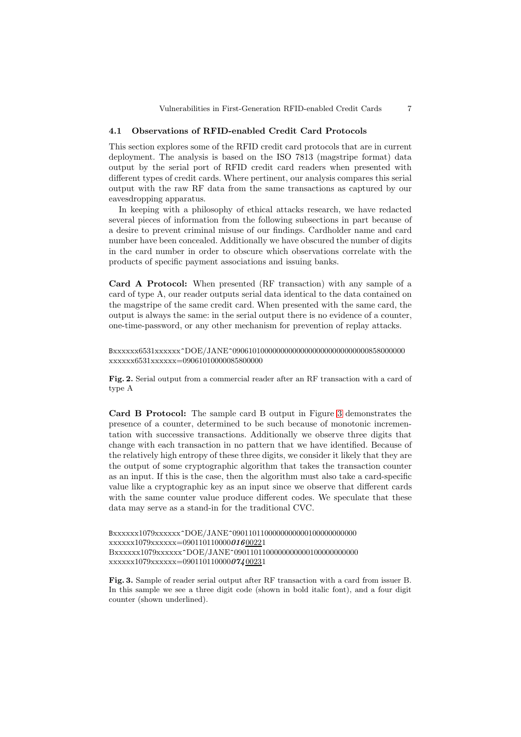### **4.1 Observations of RFID-enabled Credit Card Protocols**

This section explores some of the RFID credit card protocols that are in current deployment. The analysis is based on the ISO 7813 (magstripe format) data output by the serial port of RFID credit card readers when presented with different types of credit cards. Where pertinent, our analysis compares this serial output with the raw RF data from the same transactions as captured by our eavesdropping apparatus.

In keeping with a philosophy of ethical attacks research, we have redacted several pieces of information from the following subsections in part because of a desire to prevent criminal misuse of our findings. Cardholder name and card number have been concealed. Additionally we have obscured the number of digits in the card number in order to obscure which observations correlate with the products of specific payment associations and issuing banks.

**Card A Protocol:** When presented (RF transaction) with any sample of a card of type A, our reader outputs serial data identical to the data contained on the magstripe of the same credit card. When presented with the same card, the output is always the same: in the serial output there is no evidence of a counter, one-time-password, or any other mechanism for prevention of replay attacks.

Bxxxxxx6531xxxxxx^DOE/JANE^0906101000000000000000000000000000858000000 xxxxxx6531xxxxxx=09061010000085800000

**Fig. 2.** Serial output from a commercial reader after an RF transaction with a card of type A

**Card B Protocol:** The sample card B output in Figure [3](#page-5-0) demonstrates the presence of a counter, determined to be such because of monotonic incrementation with successive transactions. Additionally we observe three digits that change with each transaction in no pattern that we have identified. Because of the relatively high entropy of these three digits, we consider it likely that they are the output of some cryptographic algorithm that takes the transaction counter as an input. If this is the case, then the algorithm must also take a card-specific value like a cryptographic key as an input since we observe that different cards with the same counter value produce different codes. We speculate that these data may serve as a stand-in for the traditional CVC.

Bxxxxxx1079xxxxxx^DOE/JANE^0901101100000000000100000000000 xxxxxx1079xxxxxx=090110110000*016*00221 Bxxxxxx1079xxxxxx^DOE/JANE^0901101100000000000100000000000 xxxxxx1079xxxxxx=090110110000*074*00231

<span id="page-5-0"></span>**Fig. 3.** Sample of reader serial output after RF transaction with a card from issuer B. In this sample we see a three digit code (shown in bold italic font), and a four digit counter (shown underlined).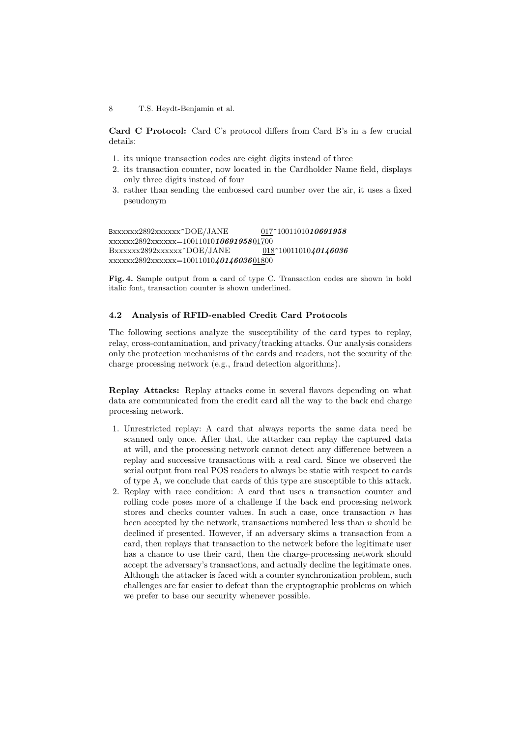**Card C Protocol:** Card C's protocol differs from Card B's in a few crucial details:

- 1. its unique transaction codes are eight digits instead of three
- 2. its transaction counter, now located in the Cardholder Name field, displays only three digits instead of four
- 3. rather than sending the embossed card number over the air, it uses a fixed pseudonym

Bxxxxxx2892xxxxxx^DOE/JANE 017^10011010*10691958* xxxxxx2892xxxxxx=10011010*10691958*01700 Bxxxxxx2892xxxxxx^DOE/JANE 018^10011010*40146036* xxxxxx2892xxxxxx=10011010*40146036*01800

**Fig. 4.** Sample output from a card of type C. Transaction codes are shown in bold italic font, transaction counter is shown underlined.

### **4.2 Analysis of RFID-enabled Credit Card Protocols**

The following sections analyze the susceptibility of the card types to replay, relay, cross-contamination, and privacy/tracking attacks. Our analysis considers only the protection mechanisms of the cards and readers, not the security of the charge processing network (e.g., fraud detection algorithms).

**Replay Attacks:** Replay attacks come in several flavors depending on what data are communicated from the credit card all the way to the back end charge processing network.

- 1. Unrestricted replay: A card that always reports the same data need be scanned only once. After that, the attacker can replay the captured data at will, and the processing network cannot detect any difference between a replay and successive transactions with a real card. Since we observed the serial output from real POS readers to always be static with respect to cards of type A, we conclude that cards of this type are susceptible to this attack.
- 2. Replay with race condition: A card that uses a transaction counter and rolling code poses more of a challenge if the back end processing network stores and checks counter values. In such a case, once transaction  $n$  has been accepted by the network, transactions numbered less than  $n$  should be declined if presented. However, if an adversary skims a transaction from a card, then replays that transaction to the network before the legitimate user has a chance to use their card, then the charge-processing network should accept the adversary's transactions, and actually decline the legitimate ones. Although the attacker is faced with a counter synchronization problem, such challenges are far easier to defeat than the cryptographic problems on which we prefer to base our security whenever possible.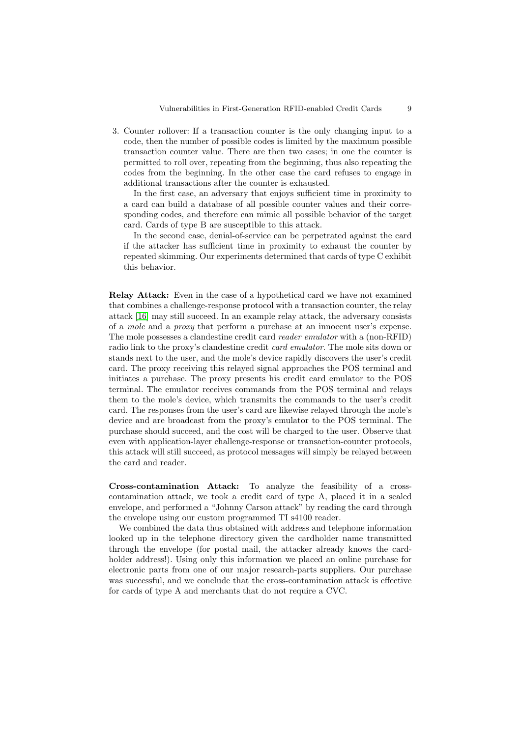3. Counter rollover: If a transaction counter is the only changing input to a code, then the number of possible codes is limited by the maximum possible transaction counter value. There are then two cases; in one the counter is permitted to roll over, repeating from the beginning, thus also repeating the codes from the beginning. In the other case the card refuses to engage in additional transactions after the counter is exhausted.

In the first case, an adversary that enjoys sufficient time in proximity to a card can build a database of all possible counter values and their corresponding codes, and therefore can mimic all possible behavior of the target card. Cards of type B are susceptible to this attack.

In the second case, denial-of-service can be perpetrated against the card if the attacker has sufficient time in proximity to exhaust the counter by repeated skimming. Our experiments determined that cards of type C exhibit this behavior.

**Relay Attack:** Even in the case of a hypothetical card we have not examined that combines a challenge-response protocol with a transaction counter, the relay attack [\[16\]](#page-11-9) may still succeed. In an example relay attack, the adversary consists of a mole and a proxy that perform a purchase at an innocent user's expense. The mole possesses a clandestine credit card reader emulator with a (non-RFID) radio link to the proxy's clandestine credit card emulator. The mole sits down or stands next to the user, and the mole's device rapidly discovers the user's credit card. The proxy receiving this relayed signal approaches the POS terminal and initiates a purchase. The proxy presents his credit card emulator to the POS terminal. The emulator receives commands from the POS terminal and relays them to the mole's device, which transmits the commands to the user's credit card. The responses from the user's card are likewise relayed through the mole's device and are broadcast from the proxy's emulator to the POS terminal. The purchase should succeed, and the cost will be charged to the user. Observe that even with application-layer challenge-response or transaction-counter protocols, this attack will still succeed, as protocol messages will simply be relayed between the card and reader.

**Cross-contamination Attack:** To analyze the feasibility of a crosscontamination attack, we took a credit card of type A, placed it in a sealed envelope, and performed a "Johnny Carson attack" by reading the card through the envelope using our custom programmed TI s4100 reader.

We combined the data thus obtained with address and telephone information looked up in the telephone directory given the cardholder name transmitted through the envelope (for postal mail, the attacker already knows the cardholder address!). Using only this information we placed an online purchase for electronic parts from one of our major research-parts suppliers. Our purchase was successful, and we conclude that the cross-contamination attack is effective for cards of type A and merchants that do not require a CVC.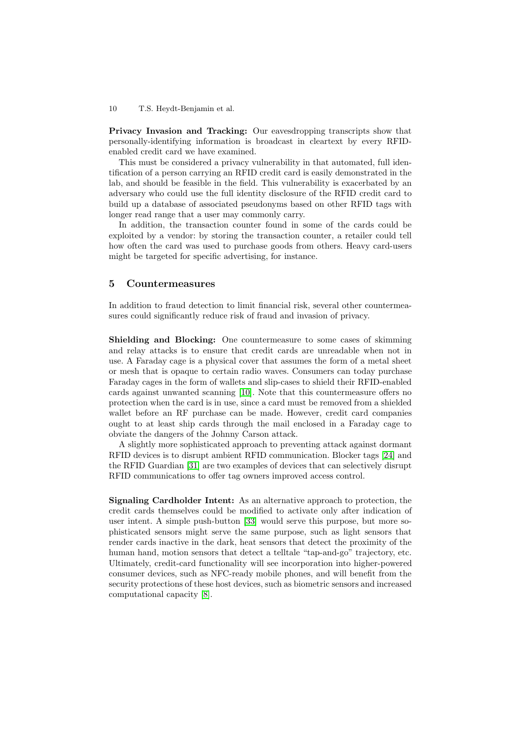**Privacy Invasion and Tracking:** Our eavesdropping transcripts show that personally-identifying information is broadcast in cleartext by every RFIDenabled credit card we have examined.

This must be considered a privacy vulnerability in that automated, full identification of a person carrying an RFID credit card is easily demonstrated in the lab, and should be feasible in the field. This vulnerability is exacerbated by an adversary who could use the full identity disclosure of the RFID credit card to build up a database of associated pseudonyms based on other RFID tags with longer read range that a user may commonly carry.

In addition, the transaction counter found in some of the cards could be exploited by a vendor: by storing the transaction counter, a retailer could tell how often the card was used to purchase goods from others. Heavy card-users might be targeted for specific advertising, for instance.

# **5 Countermeasures**

In addition to fraud detection to limit financial risk, several other countermeasures could significantly reduce risk of fraud and invasion of privacy.

**Shielding and Blocking:** One countermeasure to some cases of skimming and relay attacks is to ensure that credit cards are unreadable when not in use. A Faraday cage is a physical cover that assumes the form of a metal sheet or mesh that is opaque to certain radio waves. Consumers can today purchase Faraday cages in the form of wallets and slip-cases to shield their RFID-enabled cards against unwanted scanning [\[10\]](#page-11-10). Note that this countermeasure offers no protection when the card is in use, since a card must be removed from a shielded wallet before an RF purchase can be made. However, credit card companies ought to at least ship cards through the mail enclosed in a Faraday cage to obviate the dangers of the Johnny Carson attack.

A slightly more sophisticated approach to preventing attack against dormant RFID devices is to disrupt ambient RFID communication. Blocker tags [\[24\]](#page-12-15) and the RFID Guardian [\[31\]](#page-12-16) are two examples of devices that can selectively disrupt RFID communications to offer tag owners improved access control.

**Signaling Cardholder Intent:** As an alternative approach to protection, the credit cards themselves could be modified to activate only after indication of user intent. A simple push-button [\[33\]](#page-12-17) would serve this purpose, but more sophisticated sensors might serve the same purpose, such as light sensors that render cards inactive in the dark, heat sensors that detect the proximity of the human hand, motion sensors that detect a telltale "tap-and-go" trajectory, etc. Ultimately, credit-card functionality will see incorporation into higher-powered consumer devices, such as NFC-ready mobile phones, and will benefit from the security protections of these host devices, such as biometric sensors and increased computational capacity [\[8\]](#page-11-11).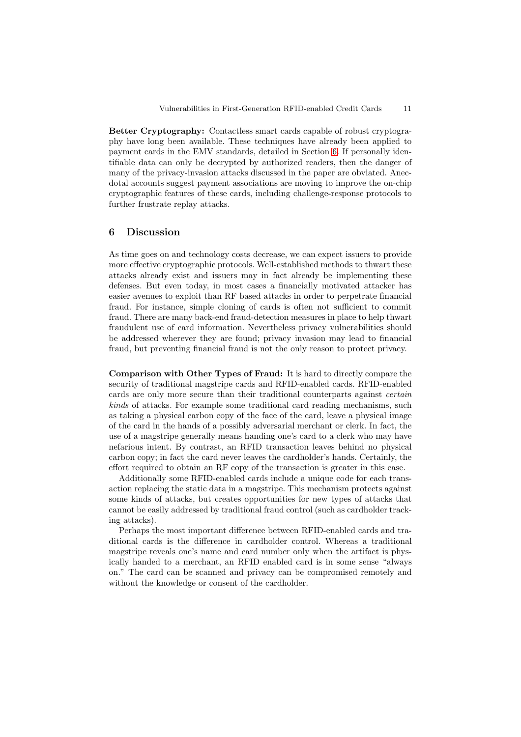**Better Cryptography:** Contactless smart cards capable of robust cryptography have long been available. These techniques have already been applied to payment cards in the EMV standards, detailed in Section [6.](#page-9-0) If personally identifiable data can only be decrypted by authorized readers, then the danger of many of the privacy-invasion attacks discussed in the paper are obviated. Anecdotal accounts suggest payment associations are moving to improve the on-chip cryptographic features of these cards, including challenge-response protocols to further frustrate replay attacks.

### **6 Discussion**

As time goes on and technology costs decrease, we can expect issuers to provide more effective cryptographic protocols. Well-established methods to thwart these attacks already exist and issuers may in fact already be implementing these defenses. But even today, in most cases a financially motivated attacker has easier avenues to exploit than RF based attacks in order to perpetrate financial fraud. For instance, simple cloning of cards is often not sufficient to commit fraud. There are many back-end fraud-detection measures in place to help thwart fraudulent use of card information. Nevertheless privacy vulnerabilities should be addressed wherever they are found; privacy invasion may lead to financial fraud, but preventing financial fraud is not the only reason to protect privacy.

**Comparison with Other Types of Fraud:** It is hard to directly compare the security of traditional magstripe cards and RFID-enabled cards. RFID-enabled cards are only more secure than their traditional counterparts against certain kinds of attacks. For example some traditional card reading mechanisms, such as taking a physical carbon copy of the face of the card, leave a physical image of the card in the hands of a possibly adversarial merchant or clerk. In fact, the use of a magstripe generally means handing one's card to a clerk who may have nefarious intent. By contrast, an RFID transaction leaves behind no physical carbon copy; in fact the card never leaves the cardholder's hands. Certainly, the effort required to obtain an RF copy of the transaction is greater in this case.

Additionally some RFID-enabled cards include a unique code for each transaction replacing the static data in a magstripe. This mechanism protects against some kinds of attacks, but creates opportunities for new types of attacks that cannot be easily addressed by traditional fraud control (such as cardholder tracking attacks).

<span id="page-9-0"></span>Perhaps the most important difference between RFID-enabled cards and traditional cards is the difference in cardholder control. Whereas a traditional magstripe reveals one's name and card number only when the artifact is physically handed to a merchant, an RFID enabled card is in some sense "always on." The card can be scanned and privacy can be compromised remotely and without the knowledge or consent of the cardholder.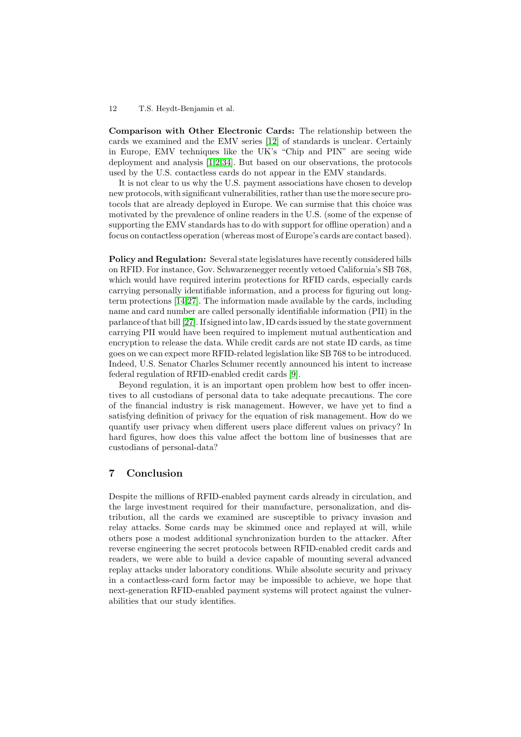**Comparison with Other Electronic Cards:** The relationship between the cards we examined and the EMV series [\[12\]](#page-11-12) of standards is unclear. Certainly in Europe, EMV techniques like the UK's "Chip and PIN" are seeing wide deployment and analysis [\[1](#page-11-1)[,2,](#page-11-13)[34\]](#page-12-18). But based on our observations, the protocols used by the U.S. contactless cards do not appear in the EMV standards.

It is not clear to us why the U.S. payment associations have chosen to develop new protocols, with significant vulnerabilities, rather than use the more secure protocols that are already deployed in Europe. We can surmise that this choice was motivated by the prevalence of online readers in the U.S. (some of the expense of supporting the EMV standards has to do with support for offline operation) and a focus on contactless operation (whereas most of Europe's cards are contact based).

**Policy and Regulation:** Several state legislatures have recently considered bills on RFID. For instance, Gov. Schwarzenegger recently vetoed California's SB 768, which would have required interim protections for RFID cards, especially cards carrying personally identifiable information, and a process for figuring out longterm protections [\[14](#page-11-14)[,27\]](#page-12-19). The information made available by the cards, including name and card number are called personally identifiable information (PII) in the parlanceof that bill [\[27\]](#page-12-19). If signed into law, ID cards issued by the state government carrying PII would have been required to implement mutual authentication and encryption to release the data. While credit cards are not state ID cards, as time goes on we can expect more RFID-related legislation like SB 768 to be introduced. Indeed, U.S. Senator Charles Schumer recently announced his intent to increase federal regulation of RFID-enabled credit cards [\[9\]](#page-11-15).

Beyond regulation, it is an important open problem how best to offer incentives to all custodians of personal data to take adequate precautions. The core of the financial industry is risk management. However, we have yet to find a satisfying definition of privacy for the equation of risk management. How do we quantify user privacy when different users place different values on privacy? In hard figures, how does this value affect the bottom line of businesses that are custodians of personal-data?

# **7 Conclusion**

Despite the millions of RFID-enabled payment cards already in circulation, and the large investment required for their manufacture, personalization, and distribution, all the cards we examined are susceptible to privacy invasion and relay attacks. Some cards may be skimmed once and replayed at will, while others pose a modest additional synchronization burden to the attacker. After reverse engineering the secret protocols between RFID-enabled credit cards and readers, we were able to build a device capable of mounting several advanced replay attacks under laboratory conditions. While absolute security and privacy in a contactless-card form factor may be impossible to achieve, we hope that next-generation RFID-enabled payment systems will protect against the vulnerabilities that our study identifies.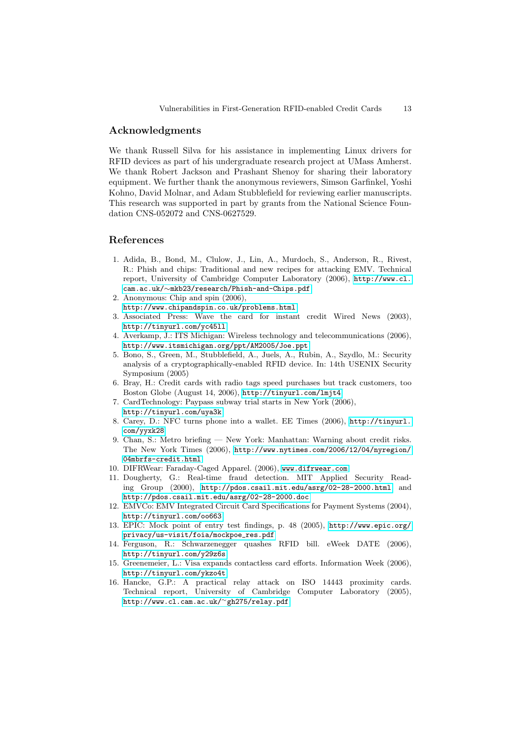## **Acknowledgments**

We thank Russell Silva for his assistance in implementing Linux drivers for RFID devices as part of his undergraduate research project at UMass Amherst. We thank Robert Jackson and Prashant Shenoy for sharing their laboratory equipment. We further thank the anonymous reviewers, Simson Garfinkel, Yoshi Kohno, David Molnar, and Adam Stubblefield for reviewing earlier manuscripts. This research was supported in part by grants from the National Science Foundation CNS-052072 and CNS-0627529.

### <span id="page-11-1"></span>**References**

- 1. Adida, B., Bond, M., Clulow, J., Lin, A., Murdoch, S., Anderson, R., Rivest, R.: Phish and chips: Traditional and new recipes for attacking EMV. Technical report, University of Cambridge Computer Laboratory (2006), [http://www.cl.](http://www.cl.cam.ac.uk/~mkb23/research/Phish-and-Chips.pdf) cam.ac.uk/∼[mkb23/research/Phish-and-Chips.pdf](http://www.cl.cam.ac.uk/$sim $mkb23/research/Phish-and-Chips.pdf)
- <span id="page-11-13"></span>2. Anonymous: Chip and spin (2006),
- <http://www.chipandspin.co.uk/problems.html>
- <span id="page-11-2"></span>3. Associated Press: Wave the card for instant credit Wired News (2003), <http://tinyurl.com/yc45ll>
- <span id="page-11-4"></span>4. Averkamp, J.: ITS Michigan: Wireless technology and telecommunications (2006), <http://www.itsmichigan.org/ppt/AM2005/Joe.ppt>
- <span id="page-11-7"></span>5. Bono, S., Green, M., Stubblefield, A., Juels, A., Rubin, A., Szydlo, M.: Security analysis of a cryptographically-enabled RFID device. In: 14th USENIX Security Symposium (2005)
- <span id="page-11-0"></span>6. Bray, H.: Credit cards with radio tags speed purchases but track customers, too Boston Globe (August 14, 2006), <http://tinyurl.com/lmjt4>
- <span id="page-11-5"></span>7. CardTechnology: Paypass subway trial starts in New York (2006), <http://tinyurl.com/uya3k>
- <span id="page-11-11"></span>8. Carey, D.: NFC turns phone into a wallet. EE Times (2006), [http://tinyurl.](protect protect protect edef OT1{OT1}let enc@update 
elax protect edef cmr{cmr}protect edef m{m}protect edef n{n}protect xdef OT1/cmtt/m/n/9 {OT1/cmr/m/n/9 }OT1/cmtt/m/n/9 size@update enc@update ignorespaces 
elax protect 
elax protect edef cmr{cmtt}protect xdef OT1/cmtt/m/n/9 {OT1/cmr/m/n/9 }OT1/cmtt/m/n/9 size@update enc@update http://tinyurl.com/yyxk28) [com/yyxk28](protect protect protect edef OT1{OT1}let enc@update 
elax protect edef cmr{cmr}protect edef m{m}protect edef n{n}protect xdef OT1/cmtt/m/n/9 {OT1/cmr/m/n/9 }OT1/cmtt/m/n/9 size@update enc@update ignorespaces 
elax protect 
elax protect edef cmr{cmtt}protect xdef OT1/cmtt/m/n/9 {OT1/cmr/m/n/9 }OT1/cmtt/m/n/9 size@update enc@update http://tinyurl.com/yyxk28)
- <span id="page-11-15"></span>9. Chan, S.: Metro briefing — New York: Manhattan: Warning about credit risks. The New York Times (2006), [http://www.nytimes.com/2006/12/04/nyregion/](protect protect protect edef OT1{OT1}let enc@update 
elax protect edef cmr{cmr}protect edef m{m}protect edef n{n}protect xdef OT1/cmtt/m/n/9 {OT1/cmr/m/n/9 }OT1/cmtt/m/n/9 size@update enc@update ignorespaces 
elax protect 
elax protect edef cmr{cmtt}protect xdef OT1/cmtt/m/n/9 {OT1/cmr/m/n/9 }OT1/cmtt/m/n/9 size@update enc@update http://www.nytimes.com/2006/12/04/nyregion/04mbrfs-credit.html) [04mbrfs-credit.html](protect protect protect edef OT1{OT1}let enc@update 
elax protect edef cmr{cmr}protect edef m{m}protect edef n{n}protect xdef OT1/cmtt/m/n/9 {OT1/cmr/m/n/9 }OT1/cmtt/m/n/9 size@update enc@update ignorespaces 
elax protect 
elax protect edef cmr{cmtt}protect xdef OT1/cmtt/m/n/9 {OT1/cmr/m/n/9 }OT1/cmtt/m/n/9 size@update enc@update http://www.nytimes.com/2006/12/04/nyregion/04mbrfs-credit.html)
- <span id="page-11-10"></span><span id="page-11-6"></span>10. DIFRWear: Faraday-Caged Apparel. (2006), <www.difrwear.com>
- 11. Dougherty, G.: Real-time fraud detection. MIT Applied Security Reading Group (2000), <http://pdos.csail.mit.edu/asrg/02-28-2000.html> and <http://pdos.csail.mit.edu/asrg/02-28-2000.doc>
- <span id="page-11-12"></span>12. EMVCo: EMV Integrated Circuit Card Specifications for Payment Systems (2004), <http://tinyurl.com/oo663>
- <span id="page-11-8"></span>13. EPIC: Mock point of entry test findings, p. 48 (2005), [http://www.epic.org/](protect protect protect edef OT1{OT1}let enc@update 
elax protect edef cmr{cmr}protect edef m{m}protect edef n{n}protect xdef OT1/cmtt/m/n/9 {OT1/cmr/m/n/9 }OT1/cmtt/m/n/9 size@update enc@update ignorespaces 
elax protect 
elax protect edef cmr{cmtt}protect xdef OT1/cmtt/m/n/9 {OT1/cmr/m/n/9 }OT1/cmtt/m/n/9 size@update enc@update http://www.epic.org/privacy/us-visit/foia/mockpoe_res.pdf) [privacy/us-visit/foia/mockpoe](protect protect protect edef OT1{OT1}let enc@update 
elax protect edef cmr{cmr}protect edef m{m}protect edef n{n}protect xdef OT1/cmtt/m/n/9 {OT1/cmr/m/n/9 }OT1/cmtt/m/n/9 size@update enc@update ignorespaces 
elax protect 
elax protect edef cmr{cmtt}protect xdef OT1/cmtt/m/n/9 {OT1/cmr/m/n/9 }OT1/cmtt/m/n/9 size@update enc@update http://www.epic.org/privacy/us-visit/foia/mockpoe_res.pdf) res.pdf
- <span id="page-11-14"></span>14. Ferguson, R.: Schwarzenegger quashes RFID bill. eWeek DATE (2006), <http://tinyurl.com/y29z6s>
- <span id="page-11-3"></span>15. Greenemeier, L.: Visa expands contactless card efforts. Information Week (2006), <http://tinyurl.com/ykzo4t>
- <span id="page-11-9"></span>16. Hancke, G.P.: A practical relay attack on ISO 14443 proximity cards. Technical report, University of Cambridge Computer Laboratory (2005), [http://www.cl.cam.ac.uk/](http://www.cl.cam.ac.uk/~gh275/relay.pdf)∼gh275/relay.pdf